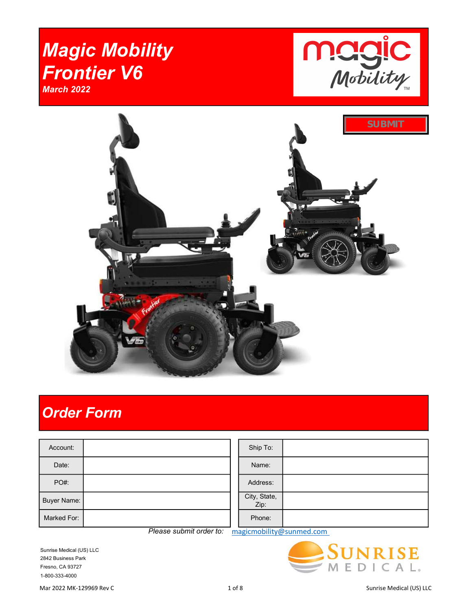# Magic Mobility Frontier V6 March 2022





## Order Form

| Account:    |  | Ship To:             |  |
|-------------|--|----------------------|--|
| Date:       |  | Name:                |  |
| PO#:        |  | Address:             |  |
| Buyer Name: |  | City, State,<br>Zip: |  |
| Marked For: |  | Phone:               |  |

Please submit order to: magicmobility@sunmed.com

Sunrise Medical (US) LLC 2842 Business Park Fresno, CA 93727 1-800-333-4000

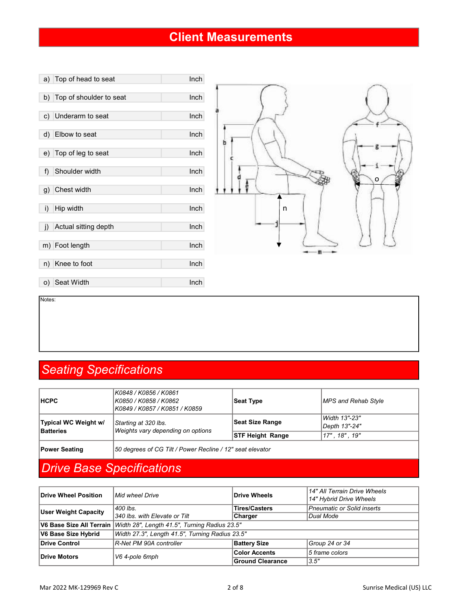#### Client Measurements



Notes:

#### Seating Specifications

| <b>Power Seating</b>                     | 50 degrees of CG Tilt / Power Recline / 12" seat elevator                           |                         |                                |  |
|------------------------------------------|-------------------------------------------------------------------------------------|-------------------------|--------------------------------|--|
|                                          |                                                                                     | <b>STF Height Range</b> | 17", 18", 19"                  |  |
| Typical WC Weight w/<br><b>Batteries</b> | Starting at 320 lbs.<br>Weights vary depending on options                           | Seat Size Range         | Width 13"-23"<br>Depth 13"-24" |  |
| <b>HCPC</b>                              | K0848 / K0856 / K0861<br>  K0850 / K0858 / K0862<br>  K0849 / K0857 / K0851 / K0859 | Seat Type               | MPS and Rehab Style            |  |

### Drive Base Specifications

| Drive Wheel Position        | Mid wheel Drive                                 | <b>Drive Wheels</b>     | 14" All Terrain Drive Wheels<br>14" Hybrid Drive Wheels |  |  |
|-----------------------------|-------------------------------------------------|-------------------------|---------------------------------------------------------|--|--|
| <b>User Weight Capacity</b> | 400 lbs.                                        | <b>Tires/Casters</b>    | Pneumatic or Solid inserts                              |  |  |
|                             | 340 lbs, with Elevate or Tilt                   | <b>Charger</b>          | Dual Mode                                               |  |  |
| V6 Base Size All Terrain    | Width 28", Length 41.5", Turning Radius 23.5"   |                         |                                                         |  |  |
| V6 Base Size Hybrid         | Width 27.3", Length 41.5", Turning Radius 23.5" |                         |                                                         |  |  |
| Drive Control               | R-Net PM 90A controller                         | <b>Battery Size</b>     | Group 24 or 34                                          |  |  |
| Drive Motors                | V6 4-pole 6mph                                  | <b>Color Accents</b>    | 5 frame colors                                          |  |  |
|                             |                                                 | <b>Ground Clearance</b> | 3.5''                                                   |  |  |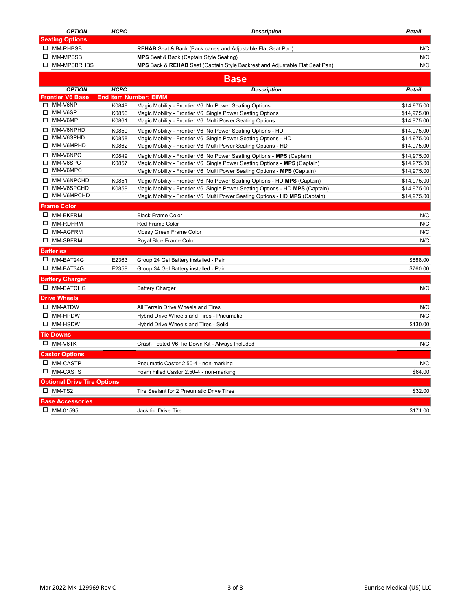|    | <b>OPTION</b>                                          | <b>HCPC</b> | <b>Description</b>                                                               | Retail      |
|----|--------------------------------------------------------|-------------|----------------------------------------------------------------------------------|-------------|
|    | <b>Seating Options</b>                                 |             |                                                                                  |             |
|    | □ MM-RHBSB                                             |             | <b>REHAB</b> Seat & Back (Back canes and Adjustable Flat Seat Pan)               | N/C         |
|    | □ MM-MPSSB                                             |             | <b>MPS</b> Seat & Back (Captain Style Seating)                                   | N/C         |
|    | □ MM-MPSBRHBS                                          |             | MPS Back & REHAB Seat (Captain Style Backrest and Adjustable Flat Seat Pan)      | N/C         |
|    |                                                        |             | <b>Base</b>                                                                      |             |
|    | <b>OPTION</b>                                          | <b>HCPC</b> | <b>Description</b>                                                               | Retail      |
|    | <b>Frontier V6 Base</b>                                |             | <b>End Item Number: EIMM</b>                                                     |             |
|    | $\Box$ MM-V6NP                                         | K0848       | Magic Mobility - Frontier V6 No Power Seating Options                            | \$14,975.00 |
| □  | MM-V6SP                                                | K0856       | Magic Mobility - Frontier V6 Single Power Seating Options                        | \$14,975.00 |
| □  | MM-V6MP                                                | K0861       | Magic Mobility - Frontier V6 Multi Power Seating Options                         | \$14,975.00 |
| □  | MM-V6NPHD                                              | K0850       | Magic Mobility - Frontier V6 No Power Seating Options - HD                       | \$14,975.00 |
| П. | MM-V6SPHD                                              | K0858       | Magic Mobility - Frontier V6 Single Power Seating Options - HD                   | \$14,975.00 |
| □  | MM-V6MPHD                                              | K0862       | Magic Mobility - Frontier V6 Multi Power Seating Options - HD                    | \$14,975.00 |
| п  | MM-V6NPC                                               | K0849       | Magic Mobility - Frontier V6 No Power Seating Options - MPS (Captain)            | \$14,975.00 |
| П. | MM-V6SPC                                               | K0857       | Magic Mobility - Frontier V6 Single Power Seating Options - MPS (Captain)        | \$14,975.00 |
| □  | MM-V6MPC                                               |             | Magic Mobility - Frontier V6 Multi Power Seating Options - MPS (Captain)         | \$14,975.00 |
| □  | MM-V6NPCHD                                             | K0851       | Magic Mobility - Frontier V6 No Power Seating Options - HD MPS (Captain)         | \$14,975.00 |
| □  | MM-V6SPCHD                                             | K0859       | Magic Mobility - Frontier V6 Single Power Seating Options - HD MPS (Captain)     | \$14,975.00 |
| □  | MM-V6MPCHD                                             |             | Magic Mobility - Frontier V6 Multi Power Seating Options - HD MPS (Captain)      | \$14,975.00 |
|    | <b>Frame Color</b>                                     |             |                                                                                  |             |
|    | □ MM-BKFRM                                             |             | <b>Black Frame Color</b>                                                         | N/C         |
|    | □ MM-RDFRM                                             |             | Red Frame Color                                                                  | N/C         |
|    | □ MM-AGFRM                                             |             | Mossy Green Frame Color                                                          | N/C         |
|    | □ MM-SBFRM                                             |             | Royal Blue Frame Color                                                           | N/C         |
|    | <b>Batteries</b>                                       |             |                                                                                  |             |
|    | $\Box$ MM-BAT24G                                       | E2363       | Group 24 Gel Battery installed - Pair                                            | \$888.00    |
|    | □ MM-BAT34G                                            | E2359       | Group 34 Gel Battery installed - Pair                                            | \$760.00    |
|    | <b>Battery Charger</b>                                 |             |                                                                                  |             |
|    | □ MM-BATCHG                                            |             | <b>Battery Charger</b>                                                           | N/C         |
|    | <b>Drive Wheels</b>                                    |             |                                                                                  |             |
|    | $\square$ MM-ATDW                                      |             | All Terrain Drive Wheels and Tires                                               | N/C         |
|    | $\square$ MM-HPDW                                      |             | Hybrid Drive Wheels and Tires - Pneumatic                                        | N/C         |
|    | $\square$ MM-HSDW                                      |             | Hybrid Drive Wheels and Tires - Solid                                            | \$130.00    |
|    | <b>Tie Downs</b>                                       |             |                                                                                  |             |
|    | $\square$ MM-V6TK                                      |             | Crash Tested V6 Tie Down Kit - Always Included                                   | N/C         |
|    | <b>Castor Options</b>                                  |             |                                                                                  |             |
|    | □ MM-CASTP                                             |             |                                                                                  | N/C         |
|    | □ MM-CASTS                                             |             | Pneumatic Castor 2.50-4 - non-marking<br>Foam Filled Castor 2.50-4 - non-marking | \$64.00     |
|    |                                                        |             |                                                                                  |             |
|    | <b>Optional Drive Tire Options</b><br>$\square$ MM-TS2 |             |                                                                                  |             |
|    |                                                        |             | Tire Sealant for 2 Pneumatic Drive Tires                                         | \$32.00     |
|    | <b>Base Accessories</b>                                |             |                                                                                  |             |
|    | □ MM-01595                                             |             | <b>Jack for Drive Tire</b>                                                       | \$171.00    |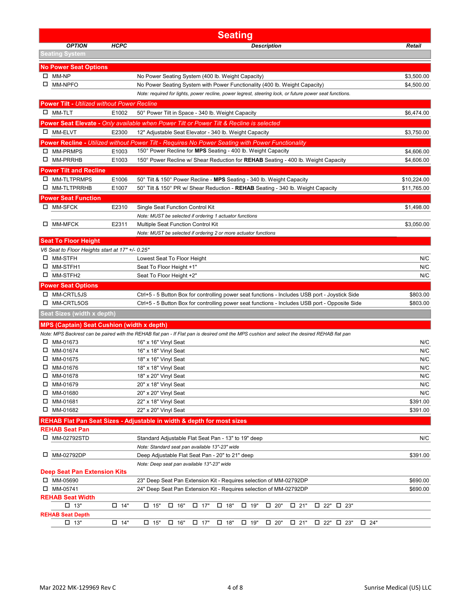|   |                                                    |               | <b>Seating</b>                                                                                                                               |                      |
|---|----------------------------------------------------|---------------|----------------------------------------------------------------------------------------------------------------------------------------------|----------------------|
|   | <b>OPTION</b>                                      | <b>HCPC</b>   | <b>Description</b>                                                                                                                           | Retail               |
|   | <b>Seating System</b>                              |               |                                                                                                                                              |                      |
|   | <b>No Power Seat Options</b>                       |               |                                                                                                                                              |                      |
|   | $\square$ MM-NP                                    |               | No Power Seating System (400 lb. Weight Capacity)                                                                                            | \$3,500.00           |
|   | □ MM-NPFO                                          |               | No Power Seating System with Power Functionality (400 lb. Weight Capacity)                                                                   | \$4,500.00           |
|   |                                                    |               | Note: required for lights, power recline, power legrest, steering lock, or future power seat functions.                                      |                      |
|   | <b>Power Tilt - Utilized without Power Recline</b> |               |                                                                                                                                              |                      |
|   | $\square$ MM-TLT                                   | E1002         | 50° Power Tilt in Space - 340 lb. Weight Capacity                                                                                            | \$6,474.00           |
|   |                                                    |               | <b>Power Seat Elevate - Only available when Power Tilt or Power Tilt &amp; Recline is selected</b>                                           |                      |
|   | □ MM-ELVT                                          | E2300         | 12" Adjustable Seat Elevator - 340 lb. Weight Capacity                                                                                       | \$3,750.00           |
|   |                                                    |               | Power Recline - Utilized without Power Tilt - Requires No Power Seating with Power Functionality                                             |                      |
|   | □ MM-PRMPS                                         | E1003         | 150° Power Recline for MPS Seating - 400 lb. Weight Capacity                                                                                 | \$4,606.00           |
|   | □ MM-PRRHB                                         | E1003         | 150° Power Recline w/ Shear Reduction for REHAB Seating - 400 lb. Weight Capacity                                                            | \$4,606.00           |
|   | <b>Power Tilt and Recline</b>                      |               |                                                                                                                                              |                      |
|   | □ MM-TLTPRMPS                                      | E1006         | 50° Tilt & 150° Power Recline - MPS Seating - 340 lb. Weight Capacity                                                                        | \$10,224.00          |
|   | □ MM-TLTPRRHB                                      | E1007         | 50° Tilt & 150° PR w/ Shear Reduction - REHAB Seating - 340 lb. Weight Capacity                                                              | \$11,765.00          |
|   | <b>Power Seat Function</b>                         |               |                                                                                                                                              |                      |
|   | □ MM-SFCK                                          | E2310         | Single Seat Function Control Kit                                                                                                             | \$1,498.00           |
|   |                                                    |               | Note: MUST be selected if ordering 1 actuator functions                                                                                      |                      |
| ш | MM-MFCK                                            | E2311         | Multiple Seat Function Control Kit                                                                                                           | \$3,050.00           |
|   |                                                    |               | Note: MUST be selected if ordering 2 or more actuator functions                                                                              |                      |
|   | <b>Seat To Floor Height</b>                        |               |                                                                                                                                              |                      |
|   | V6 Seat to Floor Heights start at 17" +/- 0.25"    |               |                                                                                                                                              |                      |
|   | □ MM-STFH                                          |               | Lowest Seat To Floor Height                                                                                                                  | N/C                  |
|   | □ MM-STFH1                                         |               | Seat To Floor Height +1"                                                                                                                     | N/C                  |
|   | □ MM-STFH2                                         |               | Seat To Floor Height +2"                                                                                                                     | N/C                  |
|   | Power Seat Options                                 |               |                                                                                                                                              |                      |
|   | □ MM-CRTL5JS                                       |               | Ctrl+5 - 5 Button Box for controlling power seat functions - Includes USB port - Joystick Side                                               | \$803.00             |
| ப | MM-CRTL5OS                                         |               | Ctrl+5 - 5 Button Box for controlling power seat functions - Includes USB port - Opposite Side                                               | \$803.00             |
|   | Seat Sizes (width x depth)                         |               |                                                                                                                                              |                      |
|   | <b>MPS (Captain) Seat Cushion (width x depth)</b>  |               |                                                                                                                                              |                      |
|   |                                                    |               | Note: MPS Backrest can be paired with the REHAB flat pan - If Flat pan is desired omit the MPS cushion and select the desired REHAB flat pan |                      |
|   | □ MM-01673                                         |               | 16" x 16" Vinyl Seat                                                                                                                         | N/C                  |
|   | $\Box$ MM-01674                                    |               | 16" x 18" Vinyl Seat                                                                                                                         | N/C                  |
|   | $\Box$ MM-01675                                    |               | 18" x 16" Vinyl Seat                                                                                                                         | N/C                  |
|   | □ MM-01676                                         |               | 18" x 18" Vinyl Seat                                                                                                                         | N/C                  |
|   | MM-01678                                           |               | 18" x 20" Vinyl Seat                                                                                                                         | N/C                  |
| 0 | MM-01679                                           |               | 20" x 18" Vinyl Seat                                                                                                                         | N/C                  |
|   | □ MM-01680                                         |               | 20" x 20" Vinyl Seat                                                                                                                         | N/C                  |
| □ | MM-01681<br>MM-01682                               |               | 22" x 18" Vinyl Seat<br>22" x 20" Vinyl Seat                                                                                                 | \$391.00<br>\$391.00 |
|   |                                                    |               |                                                                                                                                              |                      |
|   |                                                    |               | REHAB Flat Pan Seat Sizes - Adjustable in width & depth for most sizes                                                                       |                      |
|   | <b>REHAB Seat Pan</b><br>□ MM-02792STD             |               |                                                                                                                                              | N/C                  |
|   |                                                    |               | Standard Adjustable Flat Seat Pan - 13" to 19" deep<br>Note: Standard seat pan available 13"-23" wide                                        |                      |
| ш | MM-02792DP                                         |               | Deep Adjustable Flat Seat Pan - 20" to 21" deep                                                                                              | \$391.00             |
|   |                                                    |               | Note: Deep seat pan available 13"-23" wide                                                                                                   |                      |
|   | <b>Deep Seat Pan Extension Kits</b>                |               |                                                                                                                                              |                      |
|   | $\Box$ MM-05690                                    |               | 23" Deep Seat Pan Extension Kit - Requires selection of MM-02792DP                                                                           | \$690.00             |
|   | $\Box$ MM-05741                                    |               | 24" Deep Seat Pan Extension Kit - Requires selection of MM-02792DP                                                                           | \$690.00             |
|   | <b>REHAB Seat Width</b>                            |               |                                                                                                                                              |                      |
|   | $\square$ 13"                                      | $\square$ 14" | $\square$ 15"<br>$\square$ 18"<br>$\square$ 21"<br>$\Box$ 22" $\Box$ 23"<br>$\square$ 16"<br>$\Box$ 17"<br>$\Box$ 19"<br>$\square$ 20"       |                      |
|   | <b>REHAB Seat Depth</b>                            |               |                                                                                                                                              |                      |
|   | $\square$ 13"                                      | $\square$ 14" | $\Box$ 15"<br>□ 16"<br>$\Box$ 17"<br>□ 18"<br>$\Box$ 19"<br>$\square$ 20"<br>$\Box$ 21"<br>$\Box$ 22" $\Box$ 23"<br>$\Box$ 24"               |                      |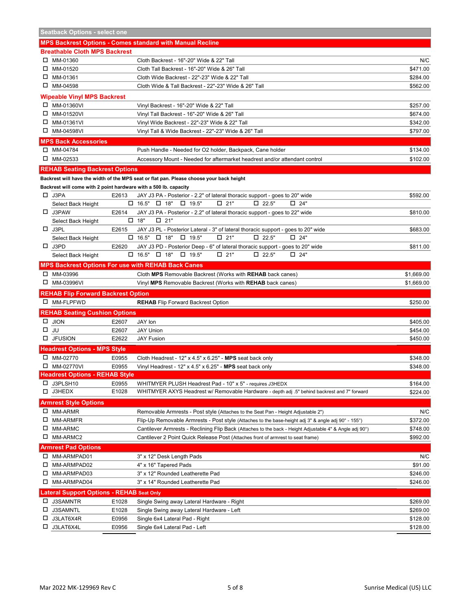|        | <b>Seatback Options - select one</b>                             |       |                                                                                                                           |            |
|--------|------------------------------------------------------------------|-------|---------------------------------------------------------------------------------------------------------------------------|------------|
|        |                                                                  |       | <b>MPS Backrest Options - Comes standard with Manual Recline</b>                                                          |            |
|        | <b>Breathable Cloth MPS Backrest</b>                             |       |                                                                                                                           |            |
|        | □ MM-01360                                                       |       | Cloth Backrest - 16"-20" Wide & 22" Tall                                                                                  | N/C        |
|        | □ MM-01520                                                       |       | Cloth Tall Backrest - 16"-20" Wide & 26" Tall                                                                             | \$471.00   |
|        | □ MM-01361                                                       |       | Cloth Wide Backrest - 22"-23" Wide & 22" Tall                                                                             | \$284.00   |
|        | □ MM-04598                                                       |       | Cloth Wide & Tall Backrest - 22"-23" Wide & 26" Tall                                                                      | \$562.00   |
|        |                                                                  |       |                                                                                                                           |            |
|        | <b>Wipeable Vinyl MPS Backrest</b>                               |       |                                                                                                                           |            |
| □      | MM-01360VI                                                       |       | Vinyl Backrest - 16"-20" Wide & 22" Tall                                                                                  | \$257.00   |
| □      | MM-01520VI                                                       |       | Vinyl Tall Backrest - 16"-20" Wide & 26" Tall                                                                             | \$674.00   |
| 0      | MM-01361VI                                                       |       | Vinyl Wide Backrest - 22"-23" Wide & 22" Tall                                                                             | \$342.00   |
|        | □ MM-04598VI                                                     |       | Vinyl Tall & Wide Backrest - 22"-23" Wide & 26" Tall                                                                      | \$797.00   |
|        | <b>MPS Back Accessories</b>                                      |       |                                                                                                                           |            |
|        | □ MM-04784                                                       |       | Push Handle - Needed for O2 holder, Backpack, Cane holder                                                                 | \$134.00   |
|        | $\Box$ MM-02533                                                  |       | Accessory Mount - Needed for aftermarket headrest and/or attendant control                                                | \$102.00   |
|        | <b>REHAB Seating Backrest Options</b>                            |       |                                                                                                                           |            |
|        |                                                                  |       | Backrest will have the width of the MPS seat or flat pan. Please choose your back height                                  |            |
|        | Backrest will come with 2 point hardware with a 500 lb. capacity |       |                                                                                                                           |            |
|        |                                                                  |       |                                                                                                                           |            |
|        | $\Box$ J3PA                                                      | E2613 | JAY J3 PA - Posterior - 2.2" of lateral thoracic support - goes to 20" wide<br>$\Box$ 22.5"<br>$\Box$ 19.5"<br>$\Box$ 24" | \$592.00   |
|        | Select Back Height                                               |       | $\Box$ 16.5" $\Box$ 18"<br>□ 21"                                                                                          |            |
|        | $\Box$ J3PAW                                                     | E2614 | JAY J3 PA - Posterior - 2.2" of lateral thoracic support - goes to 22" wide                                               | \$810.00   |
|        | Select Back Height                                               |       | $\Box$ 18"<br>$\square$ 21"                                                                                               |            |
|        | $\Box$ J3PL                                                      | E2615 | JAY J3 PL - Posterior Lateral - 3" of lateral thoracic support - goes to 20" wide                                         | \$683.00   |
|        | Select Back Height                                               |       | $\Box$ 16.5" $\Box$ 18"<br>$\Box$ 19.5"<br>$\square$ 21"<br>$\square$ 22.5"<br>$\square$ 24"                              |            |
|        | $\Box$ J3PD                                                      | E2620 | JAY J3 PD - Posterior Deep - 6" of lateral thoracic support - goes to 20" wide                                            | \$811.00   |
|        | Select Back Height                                               |       | $\Box$ 16.5" $\Box$ 18"<br>$\square$ 22.5"<br>$\Box$ 19.5"<br>$\square$ 21"<br>$\square$ 24"                              |            |
|        |                                                                  |       | <b>MPS Backrest Options For use with REHAB Back Canes</b>                                                                 |            |
|        | □ MM-03996                                                       |       | Cloth MPS Removable Backrest (Works with REHAB back canes)                                                                | \$1,669.00 |
|        | □ MM-03996VI                                                     |       | Vinyl MPS Removable Backrest (Works with REHAB back canes)                                                                | \$1,669.00 |
|        | <b>REHAB Flip Forward Backrest Option</b>                        |       |                                                                                                                           |            |
|        | □ MM-FLPFWD                                                      |       | <b>REHAB</b> Flip Forward Backrest Option                                                                                 | \$250.00   |
|        | <b>REHAB Seating Cushion Options</b>                             |       |                                                                                                                           |            |
|        |                                                                  |       |                                                                                                                           |            |
|        | <b>JION</b>                                                      | E2607 | JAY lon                                                                                                                   | \$405.00   |
|        | JU                                                               | E2607 | <b>JAY Union</b>                                                                                                          | \$454.00   |
|        | $\Box$ JFUSION                                                   | E2622 | <b>JAY Fusion</b>                                                                                                         | \$450.00   |
|        | <b>Headrest Options - MPS Style</b>                              |       |                                                                                                                           |            |
| 0      | MM-02770                                                         | E0955 | Cloth Headrest - $12" \times 4.5" \times 6.25"$ - MPS seat back only                                                      | \$348.00   |
|        | $\Box$ MM-02770VI                                                | E0955 | Vinyl Headrest - $12" \times 4.5" \times 6.25"$ - MPS seat back only                                                      | \$348.00   |
|        | <b>Headrest Options - REHAB Style</b>                            |       |                                                                                                                           |            |
|        | □ J3PLSH10                                                       | E0955 | WHITMYER PLUSH Headrest Pad - 10" x 5" - requires J3HEDX                                                                  | \$164.00   |
|        | L J3HEDX                                                         | E1028 | WHITMYER AXYS Headrest w/ Removable Hardware - depth adj .5" behind backrest and 7" forward                               | \$224.00   |
|        | <b>Armrest Style Options</b>                                     |       |                                                                                                                           |            |
| □      | MM-ARMR                                                          |       | Removable Armrests - Post style (Attaches to the Seat Pan - Height Adjustable 2")                                         | N/C        |
| 0      | MM-ARMFR                                                         |       | Flip-Up Removable Armrests - Post style (Attaches to the base-height adj 3" & angle adj 90° - 155°)                       | \$372.00   |
| □      | MM-ARMC                                                          |       | Cantilever Armrests - Reclining Flip Back (Attaches to the back - Height Adjustable 4" & Angle adj 90°)                   | \$748.00   |
| □      | MM-ARMC2                                                         |       | Cantilever 2 Point Quick Release Post (Attaches front of armrest to seat frame)                                           | \$992.00   |
|        |                                                                  |       |                                                                                                                           |            |
|        | <b>Armrest Pad Options</b>                                       |       |                                                                                                                           |            |
| ц      | MM-ARMPAD01                                                      |       | 3" x 12" Desk Length Pads                                                                                                 | N/C        |
| □      | MM-ARMPAD02                                                      |       | 4" x 16" Tapered Pads                                                                                                     | \$91.00    |
| □      | MM-ARMPAD03                                                      |       | 3" x 12" Rounded Leatherette Pad                                                                                          | \$246.00   |
|        | □ MM-ARMPAD04                                                    |       | 3" x 14" Rounded Leatherette Pad                                                                                          | \$246.00   |
|        | <b>Lateral Support Options - REHAB Seat Only</b>                 |       |                                                                                                                           |            |
| $\Box$ | J3SAMNTR                                                         | E1028 | Single Swing away Lateral Hardware - Right                                                                                | \$269.00   |
| □      | J3SAMNTL                                                         | E1028 | Single Swing away Lateral Hardware - Left                                                                                 | \$269.00   |
| □      | J3LAT6X4R                                                        | E0956 | Single 6x4 Lateral Pad - Right                                                                                            | \$128.00   |
| □      | J3LAT6X4L                                                        | E0956 | Single 6x4 Lateral Pad - Left                                                                                             | \$128.00   |
|        |                                                                  |       |                                                                                                                           |            |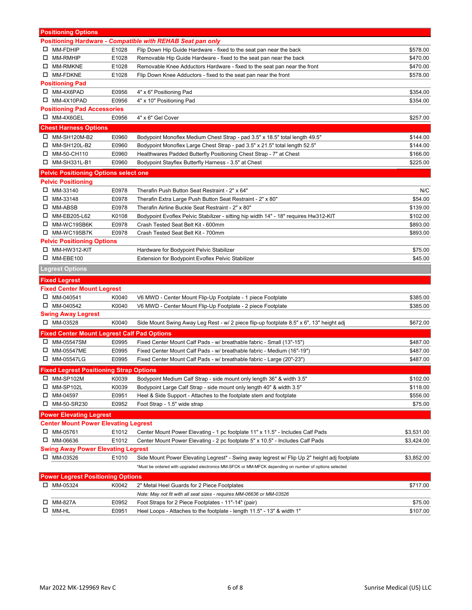|        | <b>Positioning Options</b>                          |                |                                                                                                                 |                     |
|--------|-----------------------------------------------------|----------------|-----------------------------------------------------------------------------------------------------------------|---------------------|
|        |                                                     |                | <b>Positioning Hardware - Compatible with REHAB Seat pan only</b>                                               |                     |
| $\Box$ | MM-FDHIP                                            | E1028          | Flip Down Hip Guide Hardware - fixed to the seat pan near the back                                              | \$578.00            |
|        | □ MM-RMHIP                                          | E1028          | Removable Hip Guide Hardware - fixed to the seat pan near the back                                              | \$470.00            |
|        | □ MM-RMKNE                                          | E1028          | Removable Knee Adductors Hardware - fixed to the seat pan near the front                                        | \$470.00            |
|        | □ MM-FDKNE                                          | E1028          | Flip Down Knee Adductors - fixed to the seat pan near the front                                                 | \$578.00            |
|        | <b>Positioning Pad</b>                              |                |                                                                                                                 |                     |
|        | □ MM-4X6PAD                                         | E0956          | 4" x 6" Positioning Pad                                                                                         | \$354.00            |
| □      | MM-4X10PAD                                          | E0956          | 4" x 10" Positioning Pad                                                                                        | \$354.00            |
|        | <b>Positioning Pad Accessories</b>                  |                |                                                                                                                 |                     |
|        | □ MM-4X6GEL                                         | E0956          | 4" x 6" Gel Cover                                                                                               | \$257.00            |
|        | <b>Chest Harness Options</b>                        |                |                                                                                                                 |                     |
| ш      | MM-SH120M-B2                                        | E0960          | Bodypoint Monoflex Medium Chest Strap - pad 3.5" x 18.5" total length 49.5"                                     | \$144.00            |
|        | □ MM-SH120L-B2                                      | E0960          | Bodypoint Monoflex Large Chest Strap - pad 3.5" x 21.5" total length 52.5"                                      | \$144.00            |
|        | MM-50-CH110                                         | E0960          | Healthwares Padded Butterfly Positioning Chest Strap - 7" at Chest                                              | \$166.00            |
|        | □ MM-SH331L-B1                                      | E0960          | Bodypoint Stayflex Butterfly Harness - 3.5" at Chest                                                            | \$225.00            |
|        | <b>Pelvic Positioning Options select one</b>        |                |                                                                                                                 |                     |
|        |                                                     |                |                                                                                                                 |                     |
|        | <b>Pelvic Positioning</b>                           |                |                                                                                                                 |                     |
|        | $\Box$ MM-33140<br>$\Box$ MM-33148                  | E0978          | Therafin Push Button Seat Restraint - 2" x 64"                                                                  | N/C                 |
|        | $\square$ MM-ABSB                                   | E0978<br>E0978 | Therafin Extra Large Push Button Seat Restraint - 2" x 80"<br>Therafin Airline Buckle Seat Restraint - 2" x 80" | \$54.00<br>\$139.00 |
|        | □ MM-EB205-L62                                      | K0108          |                                                                                                                 |                     |
|        | □ MM-WC19SB6K                                       | E0978          | Bodypoint Evoflex Pelvic Stabilizer - sitting hip width 14" - 18" requires Hw312-KIT                            | \$102.00            |
|        |                                                     |                | Crash Tested Seat Belt Kit - 600mm                                                                              | \$893.00            |
|        | □ MM-WC19SB7K                                       | E0978          | Crash Tested Seat Belt Kit - 700mm                                                                              | \$893.00            |
|        | <b>Pelvic Positioning Options</b><br>□ MM-HW312-KIT |                |                                                                                                                 |                     |
|        | D MM-EBE100                                         |                | Hardware for Bodypoint Pelvic Stabilizer                                                                        | \$75.00<br>\$45.00  |
|        |                                                     |                | Extension for Bodypoint Evoflex Pelvic Stabilizer                                                               |                     |
|        | <b>Legrest Options</b>                              |                |                                                                                                                 |                     |
|        | <b>Fixed Legrest</b>                                |                |                                                                                                                 |                     |
|        | <b>Fixed Center Mount Legrest</b>                   |                |                                                                                                                 |                     |
|        | $\Box$ MM-040541                                    | K0040          | V6 MWD - Center Mount Flip-Up Footplate - 1 piece Footplate                                                     | \$385.00            |
|        | $\Box$ MM-040542                                    | K0040          | V6 MWD - Center Mount Flip-Up Footplate - 2 piece Footplate                                                     | \$385.00            |
|        | <b>Swing Away Legrest</b>                           |                |                                                                                                                 |                     |
|        | □ MM-03528                                          | K0040          | Side Mount Swing Away Leg Rest - w/ 2 piece flip-up footplate 8.5" x 6", 13" height adj                         | \$672.00            |
|        | <b>Fixed Center Mount Legrest Calf Pad Options</b>  |                |                                                                                                                 |                     |
|        | $\Box$ MM-05547SM                                   | E0995          | Fixed Center Mount Calf Pads - w/ breathable fabric - Small (13"-15")                                           | \$487.00            |
|        | □ MM-05547ME                                        | E0995          | Fixed Center Mount Calf Pads - w/ breathable fabric - Medium (16"-19")                                          | \$487.00            |
|        | □ MM-05547LG                                        | E0995          | Fixed Center Mount Calf Pads - w/ breathable fabric - Large (20"-23")                                           | \$487.00            |
|        | <b>Fixed Legrest Positioning Strap Options</b>      |                |                                                                                                                 |                     |
| ⊔      | MM-SP102M                                           | K0039          | Bodypoint Medium Calf Strap - side mount only length 36" & width 3.5"                                           | \$102.00            |
| □      | MM-SP102L                                           | K0039          | Bodypoint Large Calf Strap - side mount only length 40" & width 3.5"                                            | \$118.00            |
| □      | MM-04597                                            | E0951          | Heel & Side Support - Attaches to the footplate stem and footplate                                              | \$556.00            |
|        | □ MM-50-SR230                                       | E0952          | Foot Strap - 1.5" wide strap                                                                                    | \$75.00             |
|        | <b>Power Elevating Legrest</b>                      |                |                                                                                                                 |                     |
|        | <b>Center Mount Power Elevating Legrest</b>         |                |                                                                                                                 |                     |
|        | $\Box$ MM-05761                                     | E1012          | Center Mount Power Elevating - 1 pc footplate 11" x 11.5" - Includes Calf Pads                                  | \$3,531.00          |
|        | □ MM-06636                                          | E1012          | Center Mount Power Elevating - 2 pc footplate 5" x 10.5" - Includes Calf Pads                                   | \$3,424.00          |
|        | Swing Away Power Elevating Legrest                  |                |                                                                                                                 |                     |
|        | □ MM-03526                                          | E1010          | Side Mount Power Elevating Legrest* - Swing away legrest w/ Flip Up 2" height adj footplate                     | \$3,852.00          |
|        |                                                     |                | *Must be ordered with upgraded electronics MM-SFCK or MM-MFCK depending on number of options selected           |                     |
|        |                                                     |                |                                                                                                                 |                     |
|        | <b>Power Legrest Positioning Options</b>            |                |                                                                                                                 |                     |
|        | $\Box$ MM-05324                                     | K0042          | 2" Metal Heel Guards for 2 Piece Footplates                                                                     | \$717.00            |
|        |                                                     |                | Note: May not fit with all seat sizes - requires MM-06636 or MM-03526                                           |                     |
| ப      | MM-827A<br>$\square$ MM-HL                          | E0952          | Foot Straps for 2 Piece Footplates - 11"-14" (pair)                                                             | \$75.00             |
|        |                                                     | E0951          | Heel Loops - Attaches to the footplate - length 11.5" - 13" & width 1"                                          | \$107.00            |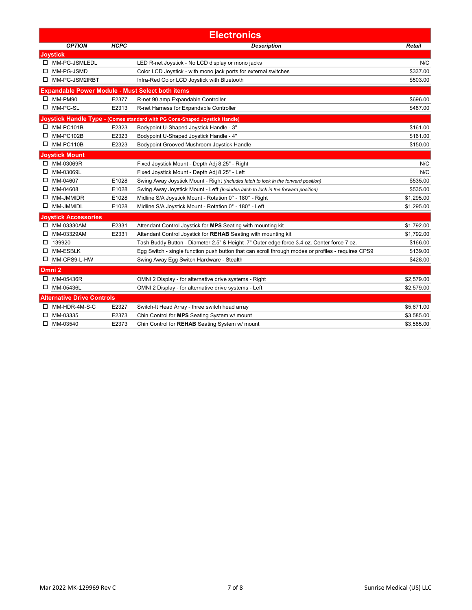|    | <b>Electronics</b>                                      |             |                                                                                                    |            |  |  |
|----|---------------------------------------------------------|-------------|----------------------------------------------------------------------------------------------------|------------|--|--|
|    | <b>OPTION</b>                                           | <b>HCPC</b> | <b>Description</b>                                                                                 | Retail     |  |  |
|    | <b>Joystick</b>                                         |             |                                                                                                    |            |  |  |
|    | □ MM-PG-JSMLEDL                                         |             | LED R-net Joystick - No LCD display or mono jacks                                                  | N/C        |  |  |
| □  | MM-PG-JSMD                                              |             | Color LCD Joystick - with mono jack ports for external switches                                    | \$337.00   |  |  |
| □  | MM-PG-JSM2IRBT                                          |             | Infra-Red Color LCD Joystick with Bluetooth                                                        | \$503.00   |  |  |
|    | <b>Expandable Power Module - Must Select both items</b> |             |                                                                                                    |            |  |  |
| □  | MM-PM90                                                 | E2377       | R-net 90 amp Expandable Controller                                                                 | \$696.00   |  |  |
| ◻  | MM-PG-SL                                                | E2313       | R-net Harness for Expandable Controller                                                            | \$487.00   |  |  |
|    |                                                         |             | Joystick Handle Type - (Comes standard with PG Cone-Shaped Joystick Handle)                        |            |  |  |
| 0  | MM-PC101B                                               | E2323       | Bodypoint U-Shaped Joystick Handle - 3"                                                            | \$161.00   |  |  |
| □  | MM-PC102B                                               | E2323       | Bodypoint U-Shaped Joystick Handle - 4"                                                            | \$161.00   |  |  |
|    | MM-PC110B                                               | E2323       | Bodypoint Grooved Mushroom Joystick Handle                                                         | \$150.00   |  |  |
|    | <b>Joystick Mount</b>                                   |             |                                                                                                    |            |  |  |
| □  | MM-03069R                                               |             | Fixed Joystick Mount - Depth Adj 8.25" - Right                                                     | N/C        |  |  |
| 0. | MM-03069L                                               |             | Fixed Joystick Mount - Depth Adj 8.25" - Left                                                      | N/C        |  |  |
| □  | MM-04607                                                | E1028       | Swing Away Joystick Mount - Right (Includes latch to lock in the forward position)                 | \$535.00   |  |  |
| □  | MM-04608                                                | E1028       | Swing Away Joystick Mount - Left (Includes latch to lock in the forward position)                  | \$535.00   |  |  |
| ◻  | MM-JMMIDR                                               | E1028       | Midline S/A Joystick Mount - Rotation 0° - 180° - Right                                            | \$1,295.00 |  |  |
|    | <b>MM-JMMIDL</b>                                        | E1028       | Midline S/A Joystick Mount - Rotation 0° - 180° - Left                                             | \$1,295.00 |  |  |
|    | <b>Joystick Accessories</b>                             |             |                                                                                                    |            |  |  |
| □  | MM-03330AM                                              | E2331       | Attendant Control Joystick for MPS Seating with mounting kit                                       | \$1,792.00 |  |  |
| ப  | MM-03329AM                                              | E2331       | Attendant Control Joystick for REHAB Seating with mounting kit                                     | \$1,792.00 |  |  |
| □  | 139920                                                  |             | Tash Buddy Button - Diameter 2.5" & Height .7" Outer edge force 3.4 oz. Center force 7 oz.         | \$166.00   |  |  |
| ◻  | <b>MM-ESBLK</b>                                         |             | Egg Switch - single function push button that can scroll through modes or profiles - requires CPS9 | \$139.00   |  |  |
| □  | MM-CPS9-L-HW                                            |             | Swing Away Egg Switch Hardware - Stealth                                                           | \$428.00   |  |  |
|    | Omni <sub>2</sub>                                       |             |                                                                                                    |            |  |  |
| □  | MM-05436R                                               |             | OMNI 2 Display - for alternative drive systems - Right                                             | \$2,579.00 |  |  |
| 0  | MM-05436L                                               |             | OMNI 2 Display - for alternative drive systems - Left                                              | \$2,579.00 |  |  |
|    | <b>Alternative Drive Controls</b>                       |             |                                                                                                    |            |  |  |
| 0  | MM-HDR-4M-S-C                                           | E2327       | Switch-It Head Array - three switch head array                                                     | \$5,671.00 |  |  |
| □  | MM-03335                                                | E2373       | Chin Control for MPS Seating System w/ mount                                                       | \$3,585.00 |  |  |
| □  | MM-03540                                                | E2373       | Chin Control for REHAB Seating System w/ mount                                                     | \$3,585.00 |  |  |